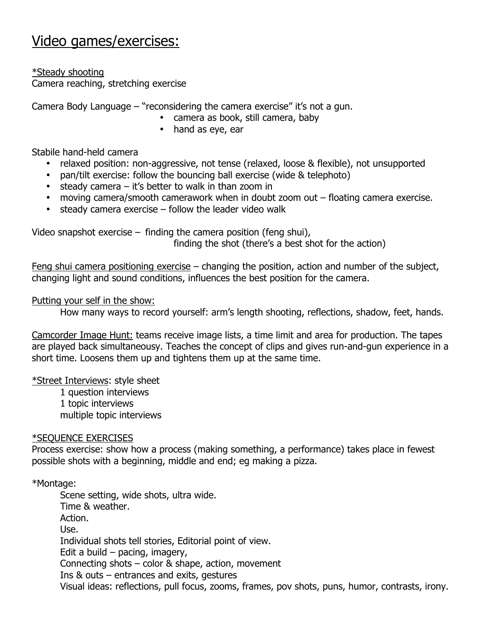## Video games/exercises:

\*Steady shooting

Camera reaching, stretching exercise

Camera Body Language – "reconsidering the camera exercise" it's not a gun.

- camera as book, still camera, baby
- hand as eye, ear

Stabile hand-held camera

- relaxed position: non-aggressive, not tense (relaxed, loose & flexible), not unsupported
- pan/tilt exercise: follow the bouncing ball exercise (wide & telephoto)
- steady camera it's better to walk in than zoom in
- moving camera/smooth camerawork when in doubt zoom out floating camera exercise.
- steady camera exercise follow the leader video walk

Video snapshot exercise  $-$  finding the camera position (feng shui), finding the shot (there's a best shot for the action)

Feng shui camera positioning exercise – changing the position, action and number of the subject, changing light and sound conditions, influences the best position for the camera.

Putting your self in the show:

How many ways to record yourself: arm's length shooting, reflections, shadow, feet, hands.

Camcorder Image Hunt: teams receive image lists, a time limit and area for production. The tapes are played back simultaneousy. Teaches the concept of clips and gives run-and-gun experience in a short time. Loosens them up and tightens them up at the same time.

\*Street Interviews: style sheet

1 question interviews 1 topic interviews multiple topic interviews

## \*SEQUENCE EXERCISES

Process exercise: show how a process (making something, a performance) takes place in fewest possible shots with a beginning, middle and end; eg making a pizza.

\*Montage:

Scene setting, wide shots, ultra wide. Time & weather. Action. Use. Individual shots tell stories, Editorial point of view. Edit a build  $-$  pacing, imagery, Connecting shots – color & shape, action, movement Ins & outs – entrances and exits, gestures Visual ideas: reflections, pull focus, zooms, frames, pov shots, puns, humor, contrasts, irony.